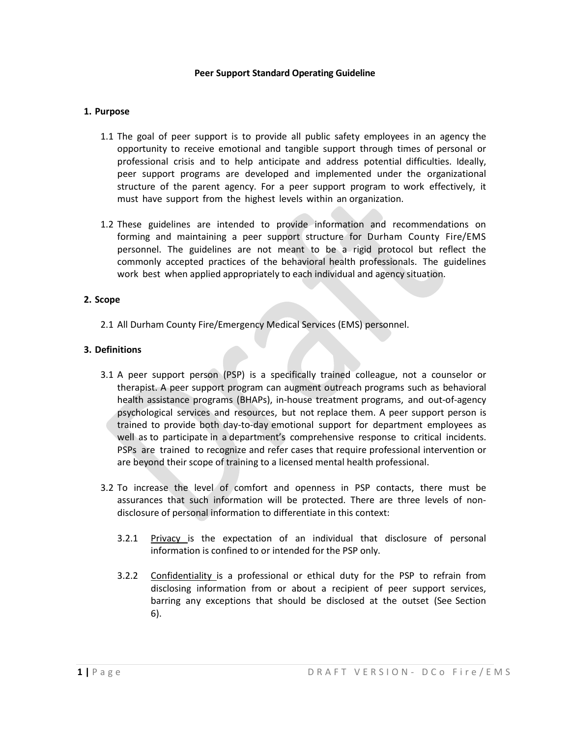#### **Peer Support Standard Operating Guideline**

### **1. Purpose**

- 1.1 The goal of peer support is to provide all public safety employees in an agency the opportunity to receive emotional and tangible support through times of personal or professional crisis and to help anticipate and address potential difficulties. Ideally, peer support programs are developed and implemented under the organizational structure of the parent agency. For a peer support program to work effectively, it must have support from the highest levels within an organization.
- 1.2 These guidelines are intended to provide information and recommendations on forming and maintaining a peer support structure for Durham County Fire/EMS personnel. The guidelines are not meant to be a rigid protocol but reflect the commonly accepted practices of the behavioral health professionals. The guidelines work best when applied appropriately to each individual and agency situation.

### **2. Scope**

2.1 All Durham County Fire/Emergency Medical Services (EMS) personnel.

## **3. Definitions**

- 3.1 A peer support person (PSP) is a specifically trained colleague, not a counselor or therapist. A peer support program can augment outreach programs such as behavioral health assistance programs (BHAPs), in-house treatment programs, and out-of-agency psychological services and resources, but not replace them. A peer support person is trained to provide both day-to-day emotional support for department employees as well as to participate in a department's comprehensive response to critical incidents. PSPs are trained to recognize and refer cases that require professional intervention or are beyond their scope of training to a licensed mental health professional.
- 3.2 To increase the level of comfort and openness in PSP contacts, there must be assurances that such information will be protected. There are three levels of nondisclosure of personal information to differentiate in this context:
	- 3.2.1 Privacy is the expectation of an individual that disclosure of personal information is confined to or intended for the PSP only.
	- 3.2.2 Confidentiality is a professional or ethical duty for the PSP to refrain from disclosing information from or about a recipient of peer support services, barring any exceptions that should be disclosed at the outset (See Section 6).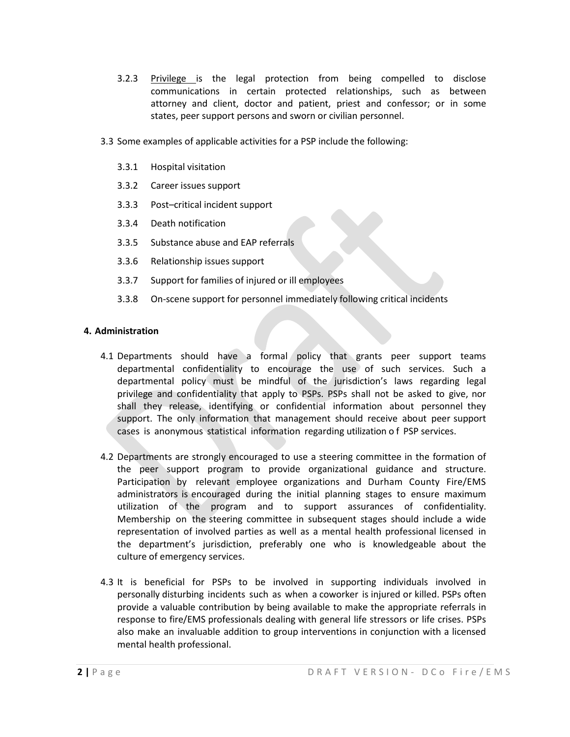- 3.2.3 Privilege is the legal protection from being compelled to disclose communications in certain protected relationships, such as between attorney and client, doctor and patient, priest and confessor; or in some states, peer support persons and sworn or civilian personnel.
- 3.3 Some examples of applicable activities for a PSP include the following:
	- 3.3.1 Hospital visitation
	- 3.3.2 Career issues support
	- 3.3.3 Post–critical incident support
	- 3.3.4 Death notification
	- 3.3.5 Substance abuse and EAP referrals
	- 3.3.6 Relationship issues support
	- 3.3.7 Support for families of injured or ill employees
	- 3.3.8 On-scene support for personnel immediately following critical incidents

### **4. Administration**

- 4.1 Departments should have a formal policy that grants peer support teams departmental confidentiality to encourage the use of such services. Such a departmental policy must be mindful of the jurisdiction's laws regarding legal privilege and confidentiality that apply to PSPs. PSPs shall not be asked to give, nor shall they release, identifying or confidential information about personnel they support. The only information that management should receive about peer support cases is anonymous statistical information regarding utilization o f PSP services.
- 4.2 Departments are strongly encouraged to use a steering committee in the formation of the peer support program to provide organizational guidance and structure. Participation by relevant employee organizations and Durham County Fire/EMS administrators is encouraged during the initial planning stages to ensure maximum utilization of the program and to support assurances of confidentiality. Membership on the steering committee in subsequent stages should include a wide representation of involved parties as well as a mental health professional licensed in the department's jurisdiction, preferably one who is knowledgeable about the culture of emergency services.
- 4.3 It is beneficial for PSPs to be involved in supporting individuals involved in personally disturbing incidents such as when a coworker is injured or killed. PSPs often provide a valuable contribution by being available to make the appropriate referrals in response to fire/EMS professionals dealing with general life stressors or life crises. PSPs also make an invaluable addition to group interventions in conjunction with a licensed mental health professional.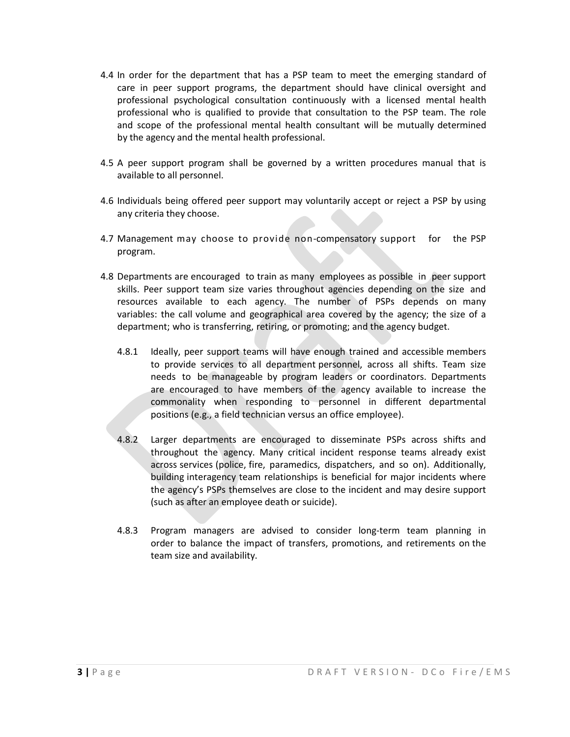- 4.4 In order for the department that has a PSP team to meet the emerging standard of care in peer support programs, the department should have clinical oversight and professional psychological consultation continuously with a licensed mental health professional who is qualified to provide that consultation to the PSP team. The role and scope of the professional mental health consultant will be mutually determined by the agency and the mental health professional.
- 4.5 A peer support program shall be governed by a written procedures manual that is available to all personnel.
- 4.6 Individuals being offered peer support may voluntarily accept or reject a PSP by using any criteria they choose.
- 4.7 Management may choose to provide non-compensatory support for the PSP program.
- 4.8 Departments are encouraged to train as many employees as possible in peer support skills. Peer support team size varies throughout agencies depending on the size and resources available to each agency. The number of PSPs depends on many variables: the call volume and geographical area covered by the agency; the size of a department; who is transferring, retiring, or promoting; and the agency budget.
	- 4.8.1 Ideally, peer support teams will have enough trained and accessible members to provide services to all department personnel, across all shifts. Team size needs to be manageable by program leaders or coordinators. Departments are encouraged to have members of the agency available to increase the commonality when responding to personnel in different departmental positions (e.g., a field technician versus an office employee).
	- 4.8.2 Larger departments are encouraged to disseminate PSPs across shifts and throughout the agency. Many critical incident response teams already exist across services (police, fire, paramedics, dispatchers, and so on). Additionally, building interagency team relationships is beneficial for major incidents where the agency's PSPs themselves are close to the incident and may desire support (such as after an employee death or suicide).
	- 4.8.3 Program managers are advised to consider long-term team planning in order to balance the impact of transfers, promotions, and retirements on the team size and availability.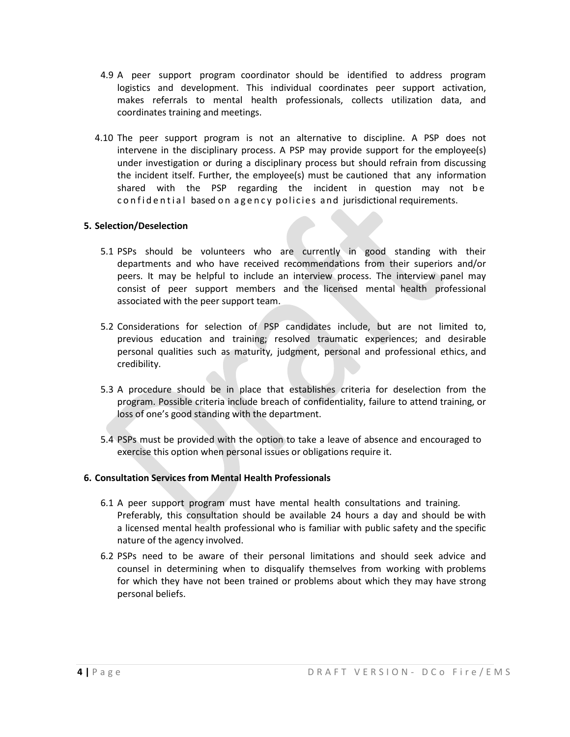- 4.9 A peer support program coordinator should be identified to address program logistics and development. This individual coordinates peer support activation, makes referrals to mental health professionals, collects utilization data, and coordinates training and meetings.
- 4.10 The peer support program is not an alternative to discipline. A PSP does not intervene in the disciplinary process. A PSP may provide support for the employee(s) under investigation or during a disciplinary process but should refrain from discussing the incident itself. Further, the employee(s) must be cautioned that any information shared with the PSP regarding the incident in question may not be confidential based on agency policies and jurisdictional requirements.

### **5. Selection/Deselection**

- 5.1 PSPs should be volunteers who are currently in good standing with their departments and who have received recommendations from their superiors and/or peers. It may be helpful to include an interview process. The interview panel may consist of peer support members and the licensed mental health professional associated with the peer support team.
- 5.2 Considerations for selection of PSP candidates include, but are not limited to, previous education and training; resolved traumatic experiences; and desirable personal qualities such as maturity, judgment, personal and professional ethics, and credibility.
- 5.3 A procedure should be in place that establishes criteria for deselection from the program. Possible criteria include breach of confidentiality, failure to attend training, or loss of one's good standing with the department.
- 5.4 PSPs must be provided with the option to take a leave of absence and encouraged to exercise this option when personal issues or obligations require it.

### **6. Consultation Services from Mental Health Professionals**

- 6.1 A peer support program must have mental health consultations and training. Preferably, this consultation should be available 24 hours a day and should be with a licensed mental health professional who is familiar with public safety and the specific nature of the agency involved.
- 6.2 PSPs need to be aware of their personal limitations and should seek advice and counsel in determining when to disqualify themselves from working with problems for which they have not been trained or problems about which they may have strong personal beliefs.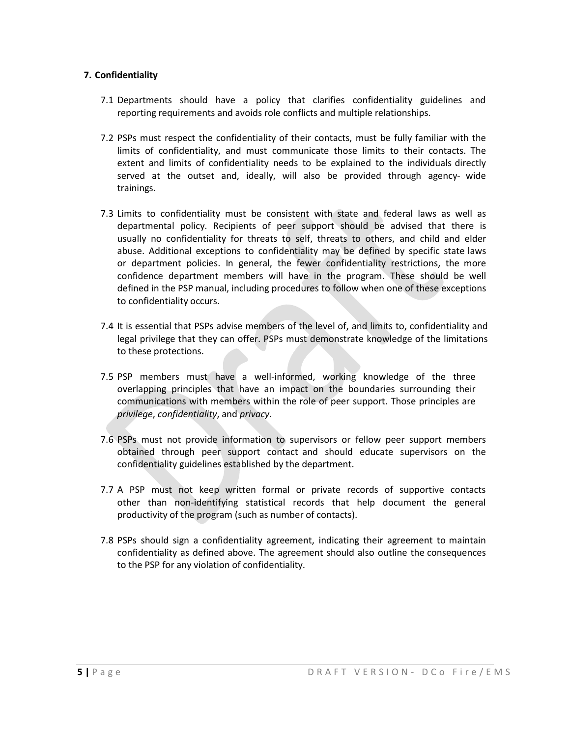# **7. Confidentiality**

- 7.1 Departments should have a policy that clarifies confidentiality guidelines and reporting requirements and avoids role conflicts and multiple relationships.
- 7.2 PSPs must respect the confidentiality of their contacts, must be fully familiar with the limits of confidentiality, and must communicate those limits to their contacts. The extent and limits of confidentiality needs to be explained to the individuals directly served at the outset and, ideally, will also be provided through agency- wide trainings.
- 7.3 Limits to confidentiality must be consistent with state and federal laws as well as departmental policy. Recipients of peer support should be advised that there is usually no confidentiality for threats to self, threats to others, and child and elder abuse. Additional exceptions to confidentiality may be defined by specific state laws or department policies. In general, the fewer confidentiality restrictions, the more confidence department members will have in the program. These should be well defined in the PSP manual, including procedures to follow when one of these exceptions to confidentiality occurs.
- 7.4 It is essential that PSPs advise members of the level of, and limits to, confidentiality and legal privilege that they can offer. PSPs must demonstrate knowledge of the limitations to these protections.
- 7.5 PSP members must have a well-informed, working knowledge of the three overlapping principles that have an impact on the boundaries surrounding their communications with members within the role of peer support. Those principles are *privilege*, *confidentiality*, and *privacy.*
- 7.6 PSPs must not provide information to supervisors or fellow peer support members obtained through peer support contact and should educate supervisors on the confidentiality guidelines established by the department.
- 7.7 A PSP must not keep written formal or private records of supportive contacts other than non-identifying statistical records that help document the general productivity of the program (such as number of contacts).
- 7.8 PSPs should sign a confidentiality agreement, indicating their agreement to maintain confidentiality as defined above. The agreement should also outline the consequences to the PSP for any violation of confidentiality.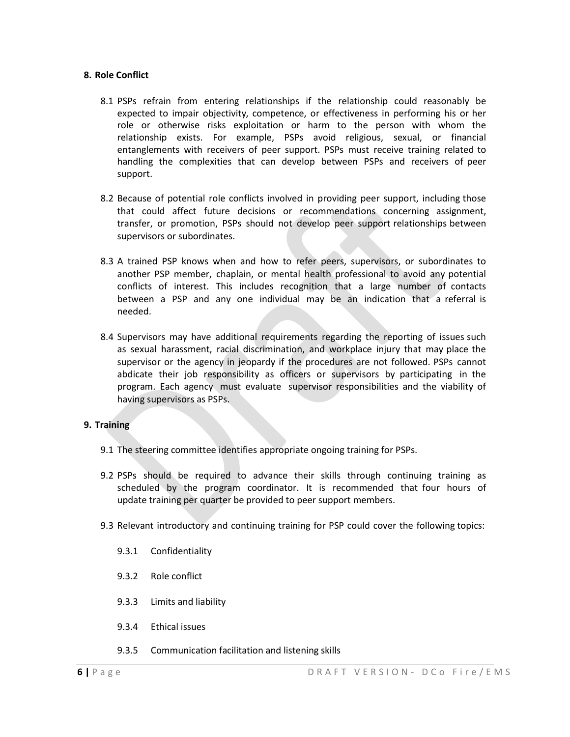### **8. Role Conflict**

- 8.1 PSPs refrain from entering relationships if the relationship could reasonably be expected to impair objectivity, competence, or effectiveness in performing his or her role or otherwise risks exploitation or harm to the person with whom the relationship exists. For example, PSPs avoid religious, sexual, or financial entanglements with receivers of peer support. PSPs must receive training related to handling the complexities that can develop between PSPs and receivers of peer support.
- 8.2 Because of potential role conflicts involved in providing peer support, including those that could affect future decisions or recommendations concerning assignment, transfer, or promotion, PSPs should not develop peer support relationships between supervisors or subordinates.
- 8.3 A trained PSP knows when and how to refer peers, supervisors, or subordinates to another PSP member, chaplain, or mental health professional to avoid any potential conflicts of interest. This includes recognition that a large number of contacts between a PSP and any one individual may be an indication that a referral is needed.
- 8.4 Supervisors may have additional requirements regarding the reporting of issues such as sexual harassment, racial discrimination, and workplace injury that may place the supervisor or the agency in jeopardy if the procedures are not followed. PSPs cannot abdicate their job responsibility as officers or supervisors by participating in the program. Each agency must evaluate supervisor responsibilities and the viability of having supervisors as PSPs.

### **9. Training**

- 9.1 The steering committee identifies appropriate ongoing training for PSPs.
- 9.2 PSPs should be required to advance their skills through continuing training as scheduled by the program coordinator. It is recommended that four hours of update training per quarter be provided to peer support members.
- 9.3 Relevant introductory and continuing training for PSP could cover the following topics:
	- 9.3.1 Confidentiality
	- 9.3.2 Role conflict
	- 9.3.3 Limits and liability
	- 9.3.4 Ethical issues
	- 9.3.5 Communication facilitation and listening skills